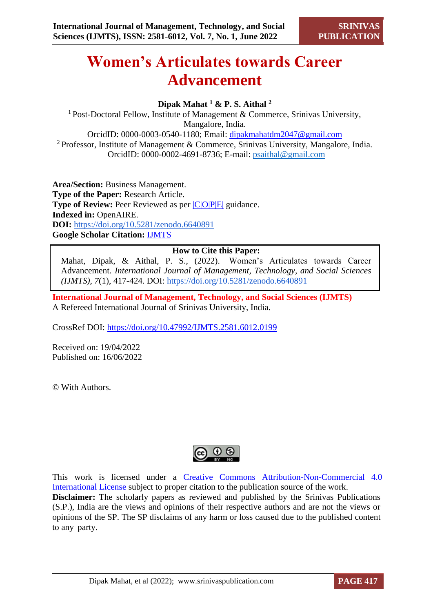# **Women's Articulates towards Career Advancement**

# **Dipak Mahat <sup>1</sup> & P. S. Aithal <sup>2</sup>**

<sup>1</sup> Post-Doctoral Fellow, Institute of Management & Commerce, Srinivas University, Mangalore, India. OrcidID: 0000-0003-0540-1180; Email: dipakmahatdm2047@gmail.com <sup>2</sup> Professor, Institute of Management & Commerce, Srinivas University, Mangalore, India. OrcidID: 0000-0002-4691-8736; E-mail: [psaithal@gmail.com](mailto:psaithal@gmail.com)

**Area/Section:** Business Management. **Type of the Paper:** Research Article. **Type of Review:** Peer Reviewed as per  $|C|O||P|E|$  guidance. **Indexed in:** OpenAIRE. **DOI:** <https://doi.org/10.5281/zenodo.6640891> **Google Scholar Citation:** [IJMTS](https://scholar.google.com/citations?user=bphF0BQAAAAJ)

# **How to Cite this Paper:**

Mahat, Dipak, & Aithal, P. S., (2022). Women's Articulates towards Career Advancement. *International Journal of Management, Technology, and Social Sciences (IJMTS), 7*(1), 417-424. DOI:<https://doi.org/10.5281/zenodo.6640891>

**International Journal of Management, Technology, and Social Sciences (IJMTS)** A Refereed International Journal of Srinivas University, India.

CrossRef DOI: [https://doi.org/10.47992/IJMTS.2581.6012.0199](https://search.crossref.org/?q=10.47992%2FIJMTS.2581.6012.0199&from_ui=yes)

Received on: 19/04/2022 Published on: 16/06/2022

© With Authors.



This work is licensed under a Creative Commons Attribution-Non-Commercial 4.0 International License subject to proper citation to the publication source of the work. **Disclaimer:** The scholarly papers as reviewed and published by the Srinivas Publications (S.P.), India are the views and opinions of their respective authors and are not the views or opinions of the SP. The SP disclaims of any harm or loss caused due to the published content to any party.

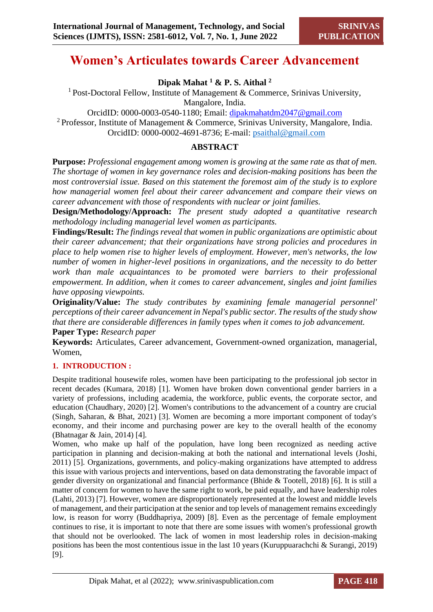# **Women's Articulates towards Career Advancement**

**Dipak Mahat <sup>1</sup> & P. S. Aithal <sup>2</sup>**

<sup>1</sup> Post-Doctoral Fellow, Institute of Management & Commerce, Srinivas University, Mangalore, India.

OrcidID: 0000-0003-0540-1180; Email: dipakmahatdm2047@gmail.com

<sup>2</sup> Professor, Institute of Management & Commerce, Srinivas University, Mangalore, India. OrcidID: 0000-0002-4691-8736; E-mail: [psaithal@gmail.com](mailto:psaithal@gmail.com)

# **ABSTRACT**

**Purpose:** *Professional engagement among women is growing at the same rate as that of men. The shortage of women in key governance roles and decision-making positions has been the most controversial issue. Based on this statement the foremost aim of the study is to explore how managerial women feel about their career advancement and compare their views on career advancement with those of respondents with nuclear or joint families.*

**Design/Methodology/Approach:** *The present study adopted a quantitative research methodology including managerial level women as participants.*

**Findings/Result:** *The findings reveal that women in public organizations are optimistic about their career advancement; that their organizations have strong policies and procedures in place to help women rise to higher levels of employment. However, men's networks, the low number of women in higher-level positions in organizations, and the necessity to do better work than male acquaintances to be promoted were barriers to their professional empowerment. In addition, when it comes to career advancement, singles and joint families have opposing viewpoints.*

**Originality/Value:** *The study contributes by examining female managerial personnel' perceptions of their career advancement in Nepal's public sector. The results of the study show that there are considerable differences in family types when it comes to job advancement.*

**Paper Type:** *Research paper*

**Keywords:** Articulates, Career advancement, Government-owned organization, managerial, Women,

# **1. INTRODUCTION :**

Despite traditional housewife roles, women have been participating to the professional job sector in recent decades (Kumara, 2018) [1]. Women have broken down conventional gender barriers in a variety of professions, including academia, the workforce, public events, the corporate sector, and education (Chaudhary, 2020) [2]. Women's contributions to the advancement of a country are crucial (Singh, Saharan, & Bhat, 2021) [3]. Women are becoming a more important component of today's economy, and their income and purchasing power are key to the overall health of the economy (Bhatnagar & Jain, 2014) [4].

Women, who make up half of the population, have long been recognized as needing active participation in planning and decision-making at both the national and international levels (Joshi, 2011) [5]. Organizations, governments, and policy-making organizations have attempted to address this issue with various projects and interventions, based on data demonstrating the favorable impact of gender diversity on organizational and financial performance (Bhide & Tootell, 2018) [6]. It is still a matter of concern for women to have the same right to work, be paid equally, and have leadership roles (Lahti, 2013) [7]. However, women are disproportionately represented at the lowest and middle levels of management, and their participation at the senior and top levels of management remains exceedingly low, is reason for worry (Buddhapriya, 2009) [8]. Even as the percentage of female employment continues to rise, it is important to note that there are some issues with women's professional growth that should not be overlooked. The lack of women in most leadership roles in decision-making positions has been the most contentious issue in the last 10 years (Kuruppuarachchi & Surangi, 2019) [9].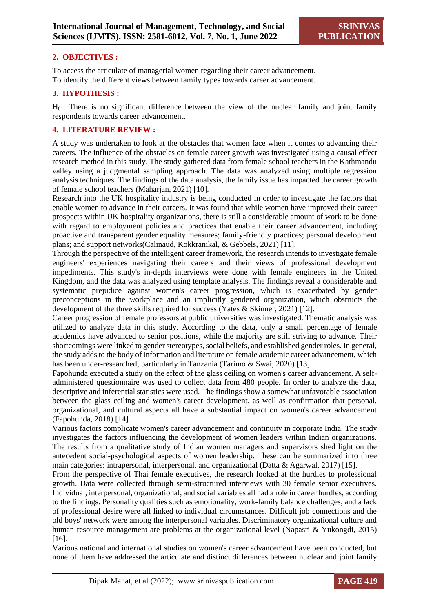# **2. OBJECTIVES :**

To access the articulate of managerial women regarding their career advancement. To identify the different views between family types towards career advancement.

# **3. HYPOTHESIS :**

 $H<sub>01</sub>$ : There is no significant difference between the view of the nuclear family and joint family respondents towards career advancement.

# **4. LITERATURE REVIEW :**

A study was undertaken to look at the obstacles that women face when it comes to advancing their careers. The influence of the obstacles on female career growth was investigated using a causal effect research method in this study. The study gathered data from female school teachers in the Kathmandu valley using a judgmental sampling approach. The data was analyzed using multiple regression analysis techniques. The findings of the data analysis, the family issue has impacted the career growth of female school teachers (Maharjan, 2021) [10].

Research into the UK hospitality industry is being conducted in order to investigate the factors that enable women to advance in their careers. It was found that while women have improved their career prospects within UK hospitality organizations, there is still a considerable amount of work to be done with regard to employment policies and practices that enable their career advancement, including proactive and transparent gender equality measures; family-friendly practices; personal development plans; and support networks(Calinaud, Kokkranikal, & Gebbels, 2021) [11].

Through the perspective of the intelligent career framework, the research intends to investigate female engineers' experiences navigating their careers and their views of professional development impediments. This study's in-depth interviews were done with female engineers in the United Kingdom, and the data was analyzed using template analysis. The findings reveal a considerable and systematic prejudice against women's career progression, which is exacerbated by gender preconceptions in the workplace and an implicitly gendered organization, which obstructs the development of the three skills required for success (Yates & Skinner, 2021) [12].

Career progression of female professors at public universities was investigated. Thematic analysis was utilized to analyze data in this study. According to the data, only a small percentage of female academics have advanced to senior positions, while the majority are still striving to advance. Their shortcomings were linked to gender stereotypes, social beliefs, and established gender roles. In general, the study adds to the body of information and literature on female academic career advancement, which has been under-researched, particularly in Tanzania (Tarimo & Swai, 2020) [13].

Fapohunda executed a study on the effect of the glass ceiling on women's career advancement. A selfadministered questionnaire was used to collect data from 480 people. In order to analyze the data, descriptive and inferential statistics were used. The findings show a somewhat unfavorable association between the glass ceiling and women's career development, as well as confirmation that personal, organizational, and cultural aspects all have a substantial impact on women's career advancement (Fapohunda, 2018) [14].

Various factors complicate women's career advancement and continuity in corporate India. The study investigates the factors influencing the development of women leaders within Indian organizations. The results from a qualitative study of Indian women managers and supervisors shed light on the antecedent social-psychological aspects of women leadership. These can be summarized into three main categories: intrapersonal, interpersonal, and organizational (Datta & Agarwal, 2017) [15].

From the perspective of Thai female executives, the research looked at the hurdles to professional growth. Data were collected through semi-structured interviews with 30 female senior executives. Individual, interpersonal, organizational, and social variables all had a role in career hurdles, according to the findings. Personality qualities such as emotionality, work-family balance challenges, and a lack of professional desire were all linked to individual circumstances. Difficult job connections and the old boys' network were among the interpersonal variables. Discriminatory organizational culture and human resource management are problems at the organizational level (Napasri & Yukongdi, 2015) [16].

Various national and international studies on women's career advancement have been conducted, but none of them have addressed the articulate and distinct differences between nuclear and joint family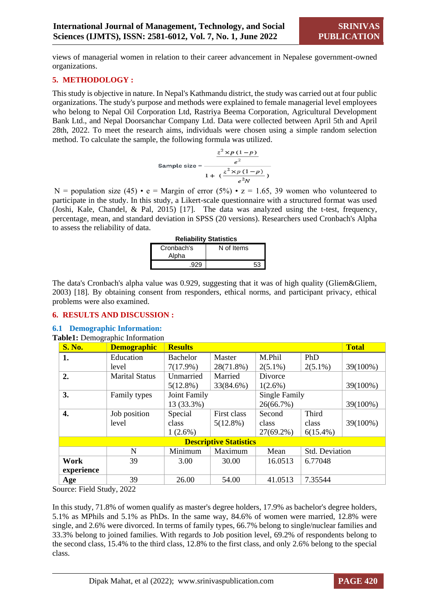views of managerial women in relation to their career advancement in Nepalese government-owned organizations.

## **5. METHODOLOGY :**

This study is objective in nature. In Nepal's Kathmandu district, the study was carried out at four public organizations. The study's purpose and methods were explained to female managerial level employees who belong to Nepal Oil Corporation Ltd, Rastriya Beema Corporation, Agricultural Development Bank Ltd., and Nepal Doorsanchar Company Ltd. Data were collected between April 5th and April 28th, 2022. To meet the research aims, individuals were chosen using a simple random selection method. To calculate the sample, the following formula was utilized.

Sample size = 
$$
\frac{z^2 \times p(1-p)}{e^2}
$$

$$
1 + (\frac{z^2 \times p(1-p)}{e^2N})
$$

N = population size (45) • e = Margin of error (5%) • z = 1.65, 39 women who volunteered to participate in the study. In this study, a Likert-scale questionnaire with a structured format was used (Joshi, Kale, Chandel, & Pal, 2015) [17]. The data was analyzed using the t-test, frequency, percentage, mean, and standard deviation in SPSS (20 versions). Researchers used Cronbach's Alpha to assess the reliability of data.

| <b>Reliability Statistics</b> |            |  |  |  |  |  |
|-------------------------------|------------|--|--|--|--|--|
| Cronbach's                    | N of Items |  |  |  |  |  |
| Alpha                         |            |  |  |  |  |  |
|                               | 53         |  |  |  |  |  |

The data's Cronbach's alpha value was 0.929, suggesting that it was of high quality (Gliem&Gliem, 2003) [18]. By obtaining consent from responders, ethical norms, and participant privacy, ethical problems were also examined.

#### **6. RESULTS AND DISCUSSION :**

# **6.1 Demographic Information:**

**Table1:** Demographic Information

| <b>S. No.</b>                 | <b>Demographic</b>    | <b>Results</b>  |             |                      |                | <b>Total</b> |  |  |
|-------------------------------|-----------------------|-----------------|-------------|----------------------|----------------|--------------|--|--|
| 1.                            | Education             | <b>Bachelor</b> | Master      | M.Phil<br>PhD        |                |              |  |  |
|                               | level                 | $7(17.9\%)$     | 28(71.8%)   | $2(5.1\%)$           | $2(5.1\%)$     | 39(100%)     |  |  |
| 2.                            | <b>Marital Status</b> | Unmarried       | Married     | Divorce              |                |              |  |  |
|                               |                       | $5(12.8\%)$     | 33(84.6%)   | $1(2.6\%)$           |                | 39(100%)     |  |  |
| 3.                            | Family types          | Joint Family    |             | <b>Single Family</b> |                |              |  |  |
|                               |                       | 13 (33.3%)      |             | 26(66.7%)            | 39(100%)       |              |  |  |
| 4.                            | Job position          | Special         | First class | Second               | Third          |              |  |  |
|                               | level                 | class           | $5(12.8\%)$ | class                | class          | 39(100%)     |  |  |
|                               |                       | $1(2.6\%)$      |             | $27(69.2\%)$         | $6(15.4\%)$    |              |  |  |
| <b>Descriptive Statistics</b> |                       |                 |             |                      |                |              |  |  |
|                               | N                     | Minimum         | Maximum     | Mean                 | Std. Deviation |              |  |  |
| Work                          | 39                    | 3.00            | 30.00       | 16.0513              | 6.77048        |              |  |  |
| experience                    |                       |                 |             |                      |                |              |  |  |
| Age                           | 39                    | 26.00           | 54.00       | 41.0513              | 7.35544        |              |  |  |

Source: Field Study, 2022

In this study, 71.8% of women qualify as master's degree holders, 17.9% as bachelor's degree holders, 5.1% as MPhils and 5.1% as PhDs. In the same way, 84.6% of women were married, 12.8% were single, and 2.6% were divorced. In terms of family types, 66.7% belong to single/nuclear families and 33.3% belong to joined families. With regards to Job position level, 69.2% of respondents belong to the second class, 15.4% to the third class, 12.8% to the first class, and only 2.6% belong to the special class.

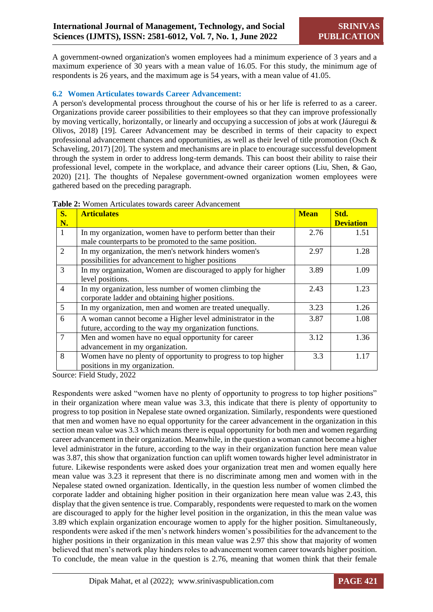A government-owned organization's women employees had a minimum experience of 3 years and a maximum experience of 30 years with a mean value of 16.05. For this study, the minimum age of respondents is 26 years, and the maximum age is 54 years, with a mean value of 41.05.

## **6.2 Women Articulates towards Career Advancement:**

A person's developmental process throughout the course of his or her life is referred to as a career. Organizations provide career possibilities to their employees so that they can improve professionally by moving vertically, horizontally, or linearly and occupying a succession of jobs at work (Jáuregui & Olivos, 2018) [19]. Career Advancement may be described in terms of their capacity to expect professional advancement chances and opportunities, as well as their level of title promotion (Osch & Schaveling, 2017) [20]. The system and mechanisms are in place to encourage successful development through the system in order to address long-term demands. This can boost their ability to raise their professional level, compete in the workplace, and advance their career options (Liu, Shen, & Gao, 2020) [21]. The thoughts of Nepalese government-owned organization women employees were gathered based on the preceding paragraph.

| <b>S.</b>      | <b>Articulates</b>                                            | <b>Mean</b> | Std.             |
|----------------|---------------------------------------------------------------|-------------|------------------|
| N.             |                                                               |             | <b>Deviation</b> |
| $\mathbf{1}$   | In my organization, women have to perform better than their   | 2.76        | 1.51             |
|                | male counterparts to be promoted to the same position.        |             |                  |
| $\overline{2}$ | In my organization, the men's network hinders women's         | 2.97        | 1.28             |
|                | possibilities for advancement to higher positions             |             |                  |
| 3              | In my organization, Women are discouraged to apply for higher | 3.89        | 1.09             |
|                | level positions.                                              |             |                  |
| $\overline{4}$ | In my organization, less number of women climbing the         | 2.43        | 1.23             |
|                | corporate ladder and obtaining higher positions.              |             |                  |
| 5              | In my organization, men and women are treated unequally.      | 3.23        | 1.26             |
| 6              | A woman cannot become a Higher level administrator in the     | 3.87        | 1.08             |
|                | future, according to the way my organization functions.       |             |                  |
| $\overline{7}$ | Men and women have no equal opportunity for career            | 3.12        | 1.36             |
|                | advancement in my organization.                               |             |                  |
| 8              | Women have no plenty of opportunity to progress to top higher | 3.3         | 1 1 7            |
|                | positions in my organization.                                 |             |                  |

#### **Table 2:** Women Articulates towards career Advancement

Source: Field Study, 2022

Respondents were asked "women have no plenty of opportunity to progress to top higher positions" in their organization where mean value was 3.3, this indicate that there is plenty of opportunity to progress to top position in Nepalese state owned organization. Similarly, respondents were questioned that men and women have no equal opportunity for the career advancement in the organization in this section mean value was 3.3 which means there is equal opportunity for both men and women regarding career advancement in their organization. Meanwhile, in the question a woman cannot become a higher level administrator in the future, according to the way in their organization function here mean value was 3.87, this show that organization function can uplift women towards higher level administrator in future. Likewise respondents were asked does your organization treat men and women equally here mean value was 3.23 it represent that there is no discriminate among men and women with in the Nepalese stated owned organization. Identically, in the question less number of women climbed the corporate ladder and obtaining higher position in their organization here mean value was 2.43, this display that the given sentence is true. Comparably, respondents were requested to mark on the women are discouraged to apply for the higher level position in the organization, in this the mean value was 3.89 which explain organization encourage women to apply for the higher position. Simultaneously, respondents were asked if the men's network hinders women's possibilities for the advancement to the higher positions in their organization in this mean value was 2.97 this show that majority of women believed that men's network play hinders roles to advancement women career towards higher position. To conclude, the mean value in the question is 2.76, meaning that women think that their female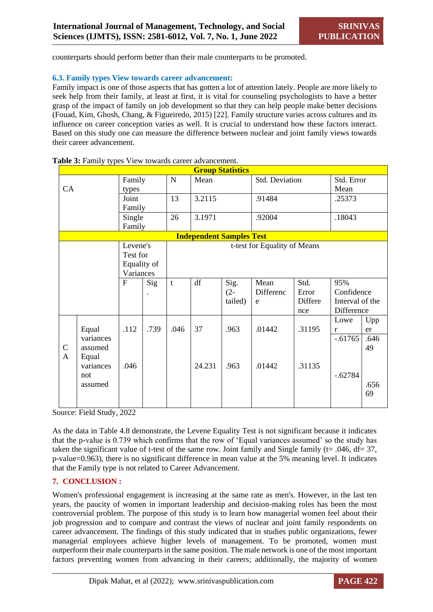counterparts should perform better than their male counterparts to be promoted.

#### **6.3. Family types View towards career advancement:**

Family impact is one of those aspects that has gotten a lot of attention lately. People are more likely to seek help from their family, at least at first, it is vital for counseling psychologists to have a better grasp of the impact of family on job development so that they can help people make better decisions (Fouad, Kim, Ghosh, Chang, & Figueiredo, 2015) [22]. Family structure varies across cultures and its influence on career conception varies as well. It is crucial to understand how these factors interact. Based on this study one can measure the difference between nuclear and joint family views towards their career advancement.

| <b>Group Statistics</b>         |           |                      |      |                              |        |                |        |            |                 |      |
|---------------------------------|-----------|----------------------|------|------------------------------|--------|----------------|--------|------------|-----------------|------|
| CA                              |           | Family               |      | ${\bf N}$<br>Mean            |        | Std. Deviation |        | Std. Error |                 |      |
|                                 |           | types                |      |                              |        |                |        |            | Mean            |      |
|                                 |           | Joint                |      | 13                           | 3.2115 |                | .91484 |            | .25373          |      |
|                                 |           | Family               |      |                              |        |                |        |            |                 |      |
|                                 |           | Single               |      | 26                           | 3.1971 |                | .92004 |            | .18043          |      |
|                                 |           | Family               |      |                              |        |                |        |            |                 |      |
| <b>Independent Samples Test</b> |           |                      |      |                              |        |                |        |            |                 |      |
|                                 |           | Levene's             |      | t-test for Equality of Means |        |                |        |            |                 |      |
|                                 |           | Test for             |      |                              |        |                |        |            |                 |      |
|                                 |           | Equality of          |      |                              |        |                |        |            |                 |      |
|                                 |           | Variances            |      |                              |        |                |        |            |                 |      |
|                                 |           | $\mathbf{F}$         | Sig  | $\mathbf t$                  | df     | Sig.           | Mean   | Std.       | 95%             |      |
|                                 |           | $\ddot{\phantom{0}}$ |      |                              | $(2 -$ | Differenc      | Error  | Confidence |                 |      |
|                                 |           |                      |      |                              |        | tailed)        | e      | Differe    | Interval of the |      |
|                                 |           |                      |      |                              |        |                | nce    | Difference |                 |      |
|                                 |           |                      |      |                              |        |                |        |            | Lowe            | Upp  |
|                                 | Equal     | .112                 | .739 | .046                         | 37     | .963           | .01442 | .31195     | $\mathbf{r}$    | er   |
|                                 | variances |                      |      |                              |        |                |        |            | $-0.61765$      | .646 |
| $\mathsf{C}$                    | assumed   |                      |      |                              |        |                |        |            |                 | 49   |
| A                               | Equal     |                      |      |                              |        |                |        |            |                 |      |
|                                 | variances | .046                 |      |                              | 24.231 | .963           | .01442 | .31135     |                 |      |
|                                 | not       |                      |      |                              |        |                |        |            | $-.62784$       |      |
|                                 | assumed   |                      |      |                              |        |                |        |            |                 | .656 |
|                                 |           |                      |      |                              |        |                |        |            |                 | 69   |
|                                 |           |                      |      |                              |        |                |        |            |                 |      |

|  | Table 3: Family types View towards career advancement. |  |
|--|--------------------------------------------------------|--|
|  |                                                        |  |

Source: Field Study, 2022

As the data in Table 4.8 demonstrate, the Levene Equality Test is not significant because it indicates that the p-value is 0.739 which confirms that the row of 'Equal variances assumed' so the study has taken the significant value of t-test of the same row. Joint family and Single family ( $t=$  .046,  $df=$  37, p-value=0.963), there is no significant difference in mean value at the 5% meaning level. It indicates that the Family type is not related to Career Advancement.

# **7. CONCLUSION :**

Women's professional engagement is increasing at the same rate as men's. However, in the last ten years, the paucity of women in important leadership and decision-making roles has been the most controversial problem. The purpose of this study is to learn how managerial women feel about their job progression and to compare and contrast the views of nuclear and joint family respondents on career advancement. The findings of this study indicated that in studies public organizations, fewer managerial employees achieve higher levels of management. To be promoted, women must outperform their male counterparts in the same position. The male network is one of the most important factors preventing women from advancing in their careers; additionally, the majority of women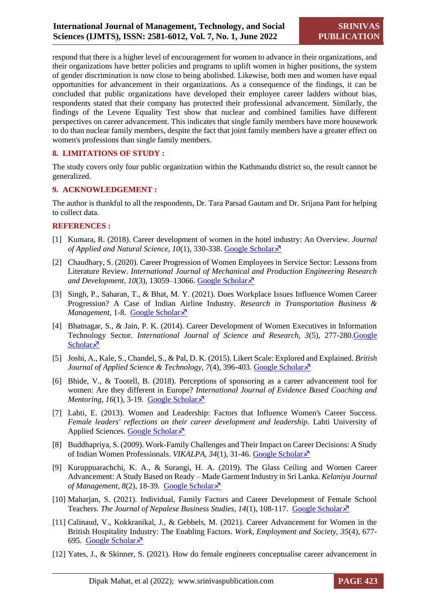respond that there is a higher level of encouragement for women to advance in their organizations, and their organizations have better policies and programs to uplift women in higher positions, the system of gender discrimination is now close to being abolished. Likewise, both men and women have equal opportunities for advancement in their organizations. As a consequence of the findings, it can be concluded that public organizations have developed their employee career ladders without bias, respondents stated that their company has protected their professional advancement. Similarly, the findings of the Levene Equality Test show that nuclear and combined families have different perspectives on career advancement. This indicates that single family members have more housework to do than nuclear family members, despite the fact that joint family members have a greater effect on women's professions than single family members.

# **8. LIMITATIONS OF STUDY :**

The study covers only four public organization within the Kathmandu district so, the result cannot be generalized.

# **9. ACKNOWLEDGEMENT :**

The author is thankful to all the respondents, Dr. Tara Parsad Gautam and Dr. Srijana Pant for helping to collect data.

#### **REFERENCES :**

- [1] Kumara, R. (2018). Career development of women in the hotel industry: An Overview. *Journal of Applied and Natural Science, 10(1), 330-338. [Google Scholar](https://core.ac.uk/download/pdf/158353803.pdf)*
- [2] Chaudhary, S. (2020). Career Progression of Women Employees in Service Sector: Lessons from Literature Review. *International Journal of Mechanical and Production Engineering Research and Development, 10(3), 13059-13066. [Google Scholar](http://www.tjprc.org/publishpapers/2-67-1600152824-1248IJMPERDJUN20201248.pdf)*
- [3] Singh, P., Saharan, T., & Bhat, M. Y. (2021). Does Workplace Issues Influence Women Career Progression? A Case of Indian Airline Industry. *Research in Transportation Business & Management*, 1-8. [Google Scholar](https://www.sciencedirect.com/science/article/abs/pii/S2210539521000821) ×
- [4] Bhatnagar, S., & Jain, P. K. (2014). Career Development of Women Executives in Information Technology Sector. *International Journal of Science and Research, 3*(5), 277-280[.Google](https://www.ijsr.net/archive/v3i5/MDIwMTMxNzQy.pdf)  [Scholar](https://www.ijsr.net/archive/v3i5/MDIwMTMxNzQy.pdf) $\lambda$
- [5] Joshi, A., Kale, S., Chandel, S., & Pal, D. K. (2015). Likert Scale: Explored and Explained. *British Journal of Applied Science & Technology, 7(4), 396-403. [Google Scholar](https://www.researchgate.net/publication/276394797_Likert_Scale_Explored_and_Explained)* $\lambda$
- [6] Bhide, V., & Tootell, B. (2018). Perceptions of sponsoring as a career advancement tool for women: Are they different in Europe? *International Journal of Evidence Based Coaching and Mentoring, 16*(1), 3-19. [Google Scholar](https://radar.brookes.ac.uk/radar/items/dd8c0f2c-c7fd-4a1e-a98a-366d0ada8d34/1/) $\lambda$
- [7] Lahti, E. (2013). Women and Leadership: Factors that Influence Women's Career Success. *Female leaders' reflections on their career development and leadership*. Lahti University of Applied Sciences. [Google Scholar](https://www.theseus.fi/bitstream/handle/10024/66172/Lahti_Elsi.pdf.pdf)  $\times$
- [8] Buddhapriya, S. (2009). Work-Family Challenges and Their Impact on Career Decisions: A Study of Indian Women Professionals. *VIKALPA, 34*(1), 31-46. [Google Scholar](https://citeseerx.ist.psu.edu/viewdoc/download?doi=10.1.1.601.3170&rep=rep1&type=pdf)
- [9] Kuruppuarachchi, K. A., & Surangi, H. A. (2019). The Glass Ceiling and Women Career Advancement: A Study Based on Ready – Made Garment Industry in Sri Lanka. *Kelaniya Journal*  of Management, 8(2), 18-39. [Google Scholar](https://kjm.sljol.info/articles/abstract/10.4038/kjm.v8i2.7581/)<sup> $x$ </sup>
- [10] Maharjan, S. (2021). Individual, Family Factors and Career Development of Female School Teachers. *The Journal of Nepalese Business Studies, 14*(1), 108-117. [Google Scholar](https://www.nepjol.info/index.php/JNBS/article/view/41497) $\lambda$ <sup>7</sup>
- [11] Calinaud, V., Kokkranikal, J., & Gebbels, M. (2021). Career Advancement for Women in the British Hospitality Industry: The Enabling Factors. *Work, Employment and Society, 35*(4), 677- 695. [Google Scholar](https://gala.gre.ac.uk/id/eprint/29706/) $\lambda$
- [12] Yates, J., & Skinner, S. (2021). How do female engineers conceptualise career advancement in